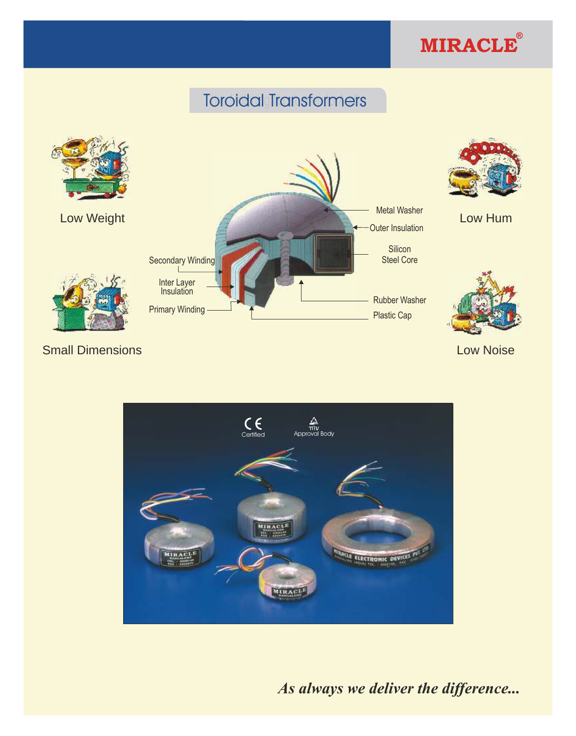

# Toroidal Transformers



**Small Dimensions Low Noise** Low Noise Low Noise



*As always we deliver the difference...*